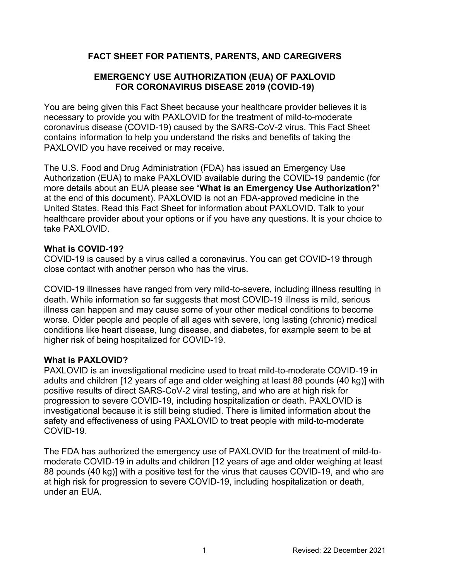# **FACT SHEET FOR PATIENTS, PARENTS, AND CAREGIVERS**

# **EMERGENCY USE AUTHORIZATION (EUA) OF PAXLOVID FOR CORONAVIRUS DISEASE 2019 (COVID-19)**

You are being given this Fact Sheet because your healthcare provider believes it is necessary to provide you with PAXLOVID for the treatment of mild-to-moderate coronavirus disease (COVID-19) caused by the SARS-CoV-2 virus. This Fact Sheet contains information to help you understand the risks and benefits of taking the PAXLOVID you have received or may receive.

The U.S. Food and Drug Administration (FDA) has issued an Emergency Use Authorization (EUA) to make PAXLOVID available during the COVID-19 pandemic (for more details about an EUA please see "**What is an Emergency Use Authorization?**" at the end of this document). PAXLOVID is not an FDA-approved medicine in the United States. Read this Fact Sheet for information about PAXLOVID. Talk to your healthcare provider about your options or if you have any questions. It is your choice to take PAXLOVID.

#### **What is COVID-19?**

COVID-19 is caused by a virus called a coronavirus. You can get COVID-19 through close contact with another person who has the virus.

COVID-19 illnesses have ranged from very mild-to-severe, including illness resulting in death. While information so far suggests that most COVID-19 illness is mild, serious illness can happen and may cause some of your other medical conditions to become worse. Older people and people of all ages with severe, long lasting (chronic) medical conditions like heart disease, lung disease, and diabetes, for example seem to be at higher risk of being hospitalized for COVID-19.

## **What is PAXLOVID?**

PAXLOVID is an investigational medicine used to treat mild-to-moderate COVID-19 in adults and children [12 years of age and older weighing at least 88 pounds (40 kg)] with positive results of direct SARS-CoV-2 viral testing, and who are at high risk for progression to severe COVID-19, including hospitalization or death. PAXLOVID is investigational because it is still being studied. There is limited information about the safety and effectiveness of using PAXLOVID to treat people with mild-to-moderate COVID-19.

The FDA has authorized the emergency use of PAXLOVID for the treatment of mild-tomoderate COVID-19 in adults and children [12 years of age and older weighing at least 88 pounds (40 kg)] with a positive test for the virus that causes COVID-19, and who are at high risk for progression to severe COVID-19, including hospitalization or death, under an EUA.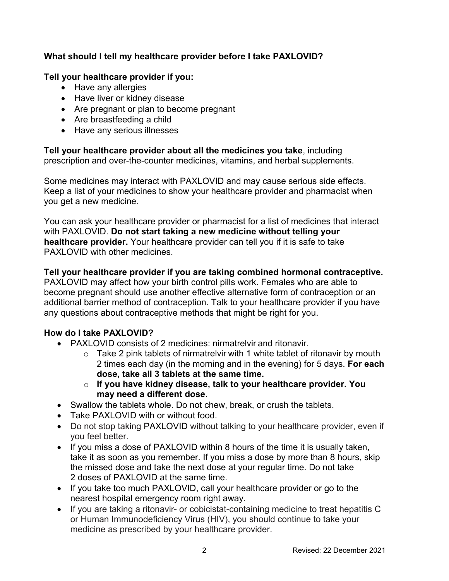# **What should I tell my healthcare provider before I take PAXLOVID?**

### **Tell your healthcare provider if you:**

- Have any allergies
- Have liver or kidney disease
- Are pregnant or plan to become pregnant
- Are breastfeeding a child
- Have any serious illnesses

**Tell your healthcare provider about all the medicines you take**, including prescription and over-the-counter medicines, vitamins, and herbal supplements.

Some medicines may interact with PAXLOVID and may cause serious side effects. Keep a list of your medicines to show your healthcare provider and pharmacist when you get a new medicine.

You can ask your healthcare provider or pharmacist for a list of medicines that interact with PAXLOVID. **Do not start taking a new medicine without telling your healthcare provider.** Your healthcare provider can tell you if it is safe to take PAXLOVID with other medicines.

### **Tell your healthcare provider if you are taking combined hormonal contraceptive.**

PAXLOVID may affect how your birth control pills work. Females who are able to become pregnant should use another effective alternative form of contraception or an additional barrier method of contraception. Talk to your healthcare provider if you have any questions about contraceptive methods that might be right for you.

## **How do I take PAXLOVID?**

- PAXLOVID consists of 2 medicines: nirmatrelvir and ritonavir.
	- $\circ$  Take 2 pink tablets of nirmatrelvir with 1 white tablet of ritonavir by mouth 2 times each day (in the morning and in the evening) for 5 days. **For each dose, take all 3 tablets at the same time.**
	- o **If you have kidney disease, talk to your healthcare provider. You may need a different dose.**
- Swallow the tablets whole. Do not chew, break, or crush the tablets.
- Take PAXLOVID with or without food.
- Do not stop taking PAXLOVID without talking to your healthcare provider, even if you feel better.
- If you miss a dose of PAXLOVID within 8 hours of the time it is usually taken, take it as soon as you remember. If you miss a dose by more than 8 hours, skip the missed dose and take the next dose at your regular time. Do not take 2 doses of PAXLOVID at the same time.
- If you take too much PAXLOVID, call your healthcare provider or go to the nearest hospital emergency room right away.
- If you are taking a ritonavir- or cobicistat-containing medicine to treat hepatitis C or Human Immunodeficiency Virus (HIV), you should continue to take your medicine as prescribed by your healthcare provider.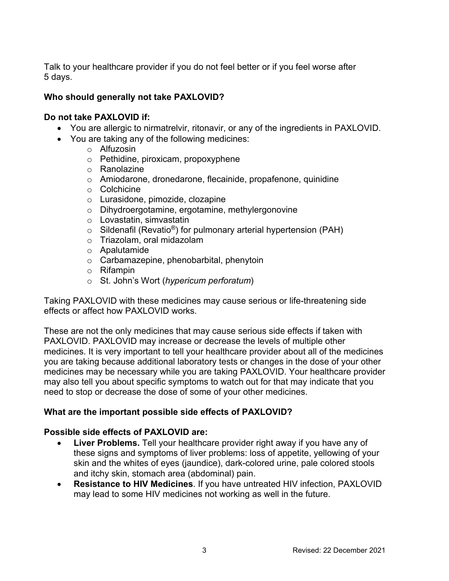Talk to your healthcare provider if you do not feel better or if you feel worse after 5 days.

### **Who should generally not take PAXLOVID?**

#### **Do not take PAXLOVID if:**

- You are allergic to nirmatrelvir, ritonavir, or any of the ingredients in PAXLOVID.
- You are taking any of the following medicines:
	- o Alfuzosin
	- o Pethidine, piroxicam, propoxyphene
	- o Ranolazine
	- o Amiodarone, dronedarone, flecainide, propafenone, quinidine
	- o Colchicine
	- o Lurasidone, pimozide, clozapine
	- o Dihydroergotamine, ergotamine, methylergonovine
	- o Lovastatin, simvastatin
	- $\circ$  Sildenafil (Revatio<sup>®</sup>) for pulmonary arterial hypertension (PAH)
	- o Triazolam, oral midazolam
	- o Apalutamide
	- o Carbamazepine, phenobarbital, phenytoin
	- o Rifampin
	- o St. John's Wort (*hypericum perforatum*)

Taking PAXLOVID with these medicines may cause serious or life-threatening side effects or affect how PAXLOVID works.

These are not the only medicines that may cause serious side effects if taken with PAXLOVID. PAXLOVID may increase or decrease the levels of multiple other medicines. It is very important to tell your healthcare provider about all of the medicines you are taking because additional laboratory tests or changes in the dose of your other medicines may be necessary while you are taking PAXLOVID. Your healthcare provider may also tell you about specific symptoms to watch out for that may indicate that you need to stop or decrease the dose of some of your other medicines.

## **What are the important possible side effects of PAXLOVID?**

#### **Possible side effects of PAXLOVID are:**

- **Liver Problems.** Tell your healthcare provider right away if you have any of these signs and symptoms of liver problems: loss of appetite, yellowing of your skin and the whites of eyes (jaundice), dark-colored urine, pale colored stools and itchy skin, stomach area (abdominal) pain.
- **Resistance to HIV Medicines**. If you have untreated HIV infection, PAXLOVID may lead to some HIV medicines not working as well in the future.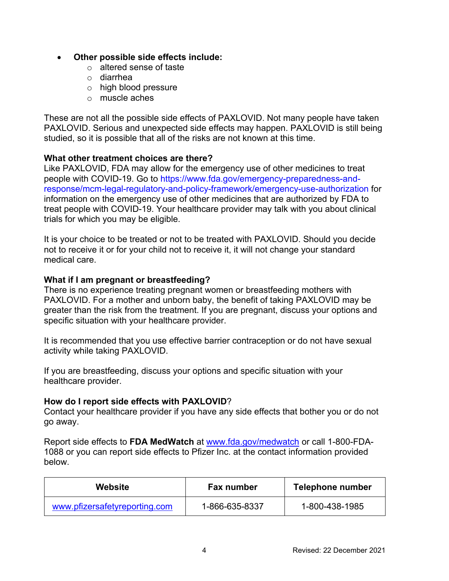#### **Other possible side effects include:**

- o altered sense of taste
- o diarrhea
- o high blood pressure
- o muscle aches

These are not all the possible side effects of PAXLOVID. Not many people have taken PAXLOVID. Serious and unexpected side effects may happen. PAXLOVID is still being studied, so it is possible that all of the risks are not known at this time.

## **What other treatment choices are there?**

Like PAXLOVID, FDA may allow for the emergency use of other medicines to treat people with COVID-19. Go to [https://www.fda.gov/emergency-preparedness-and](https://www.fda.gov/emergency-preparedness-and-response/mcm-legal-regulatory-and-policy-framework/emergency-use-authorization)[response/mcm-legal-regulatory-and-policy-framework/emergency-use-authorization](https://www.fda.gov/emergency-preparedness-and-response/mcm-legal-regulatory-and-policy-framework/emergency-use-authorization) for information on the emergency use of other medicines that are authorized by FDA to treat people with COVID-19. Your healthcare provider may talk with you about clinical trials for which you may be eligible.

It is your choice to be treated or not to be treated with PAXLOVID. Should you decide not to receive it or for your child not to receive it, it will not change your standard medical care.

### **What if I am pregnant or breastfeeding?**

There is no experience treating pregnant women or breastfeeding mothers with PAXLOVID. For a mother and unborn baby, the benefit of taking PAXLOVID may be greater than the risk from the treatment. If you are pregnant, discuss your options and specific situation with your healthcare provider.

It is recommended that you use effective barrier contraception or do not have sexual activity while taking PAXLOVID.

If you are breastfeeding, discuss your options and specific situation with your healthcare provider.

#### **How do I report side effects with PAXLOVID**?

Contact your healthcare provider if you have any side effects that bother you or do not go away.

Report side effects to **FDA MedWatch** at [www.fda.gov/medwatch](http://www.fda.gov/medwatch) or call 1-800-FDA-1088 or you can report side effects to Pfizer Inc. at the contact information provided below.

| Website                       | Fax number     | Telephone number |
|-------------------------------|----------------|------------------|
| www.pfizersafetyreporting.com | 1-866-635-8337 | 1-800-438-1985   |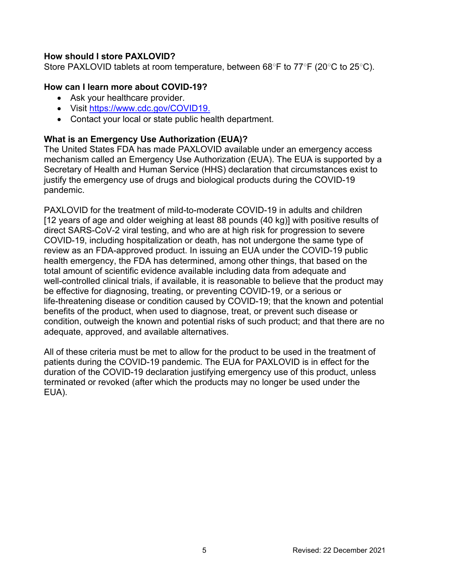### **How should I store PAXLOVID?**

Store PAXLOVID tablets at room temperature, between 68○F to 77○F (20○C to 25○C).

#### **How can I learn more about COVID-19?**

- Ask your healthcare provider.
- Visit<https://www.cdc.gov/COVID19>.
- Contact your local or state public health department.

## **What is an Emergency Use Authorization (EUA)?**

The United States FDA has made PAXLOVID available under an emergency access mechanism called an Emergency Use Authorization (EUA). The EUA is supported by a Secretary of Health and Human Service (HHS) declaration that circumstances exist to justify the emergency use of drugs and biological products during the COVID-19 pandemic.

PAXLOVID for the treatment of mild-to-moderate COVID-19 in adults and children [12 years of age and older weighing at least 88 pounds (40 kg)] with positive results of direct SARS-CoV-2 viral testing, and who are at high risk for progression to severe COVID-19, including hospitalization or death, has not undergone the same type of review as an FDA-approved product. In issuing an EUA under the COVID-19 public health emergency, the FDA has determined, among other things, that based on the total amount of scientific evidence available including data from adequate and well-controlled clinical trials, if available, it is reasonable to believe that the product may be effective for diagnosing, treating, or preventing COVID-19, or a serious or life-threatening disease or condition caused by COVID-19; that the known and potential benefits of the product, when used to diagnose, treat, or prevent such disease or condition, outweigh the known and potential risks of such product; and that there are no adequate, approved, and available alternatives.

All of these criteria must be met to allow for the product to be used in the treatment of patients during the COVID-19 pandemic. The EUA for PAXLOVID is in effect for the duration of the COVID-19 declaration justifying emergency use of this product, unless terminated or revoked (after which the products may no longer be used under the EUA).